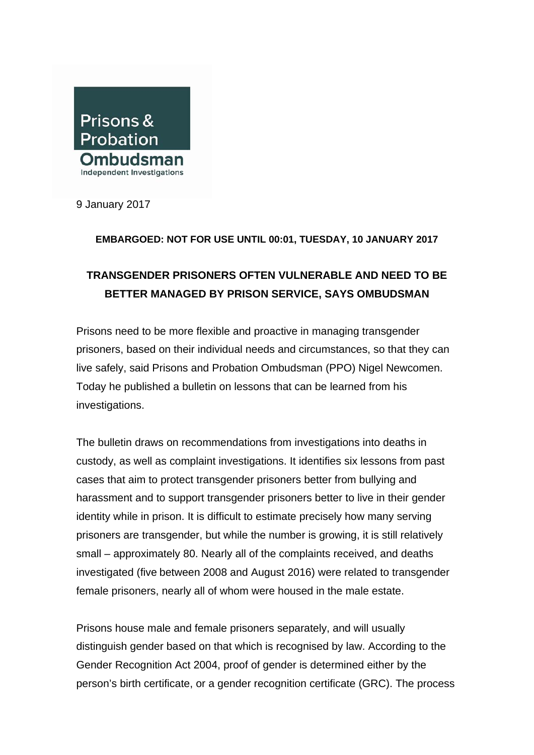

9 January 2017

## **EMBARGOED: NOT FOR USE UNTIL 00:01, TUESDAY, 10 JANUARY 2017**

## **TRANSGENDER PRISONERS OFTEN VULNERABLE AND NEED TO BE BETTER MANAGED BY PRISON SERVICE, SAYS OMBUDSMAN**

Prisons need to be more flexible and proactive in managing transgender prisoners, based on their individual needs and circumstances, so that they can live safely, said Prisons and Probation Ombudsman (PPO) Nigel Newcomen. Today he published a bulletin on lessons that can be learned from his investigations.

The bulletin draws on recommendations from investigations into deaths in custody, as well as complaint investigations. It identifies six lessons from past cases that aim to protect transgender prisoners better from bullying and harassment and to support transgender prisoners better to live in their gender identity while in prison. It is difficult to estimate precisely how many serving prisoners are transgender, but while the number is growing, it is still relatively small – approximately 80. Nearly all of the complaints received, and deaths investigated (five between 2008 and August 2016) were related to transgender female prisoners, nearly all of whom were housed in the male estate.

Prisons house male and female prisoners separately, and will usually distinguish gender based on that which is recognised by law. According to the Gender Recognition Act 2004, proof of gender is determined either by the person's birth certificate, or a gender recognition certificate (GRC). The process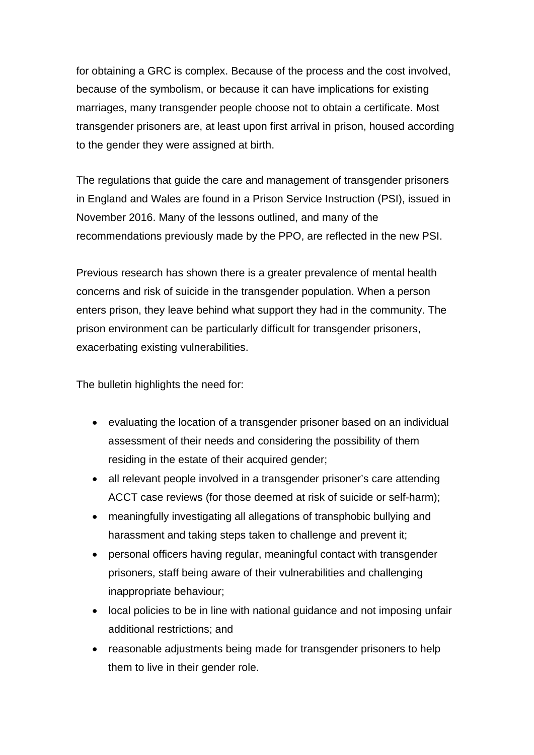for obtaining a GRC is complex. Because of the process and the cost involved, because of the symbolism, or because it can have implications for existing marriages, many transgender people choose not to obtain a certificate. Most transgender prisoners are, at least upon first arrival in prison, housed according to the gender they were assigned at birth.

The regulations that guide the care and management of transgender prisoners in England and Wales are found in a Prison Service Instruction (PSI), issued in November 2016. Many of the lessons outlined, and many of the recommendations previously made by the PPO, are reflected in the new PSI.

Previous research has shown there is a greater prevalence of mental health concerns and risk of suicide in the transgender population. When a person enters prison, they leave behind what support they had in the community. The prison environment can be particularly difficult for transgender prisoners, exacerbating existing vulnerabilities.

The bulletin highlights the need for:

- evaluating the location of a transgender prisoner based on an individual assessment of their needs and considering the possibility of them residing in the estate of their acquired gender;
- all relevant people involved in a transgender prisoner's care attending ACCT case reviews (for those deemed at risk of suicide or self-harm);
- meaningfully investigating all allegations of transphobic bullying and harassment and taking steps taken to challenge and prevent it;
- personal officers having regular, meaningful contact with transgender prisoners, staff being aware of their vulnerabilities and challenging inappropriate behaviour;
- local policies to be in line with national guidance and not imposing unfair additional restrictions; and
- reasonable adjustments being made for transgender prisoners to help them to live in their gender role.